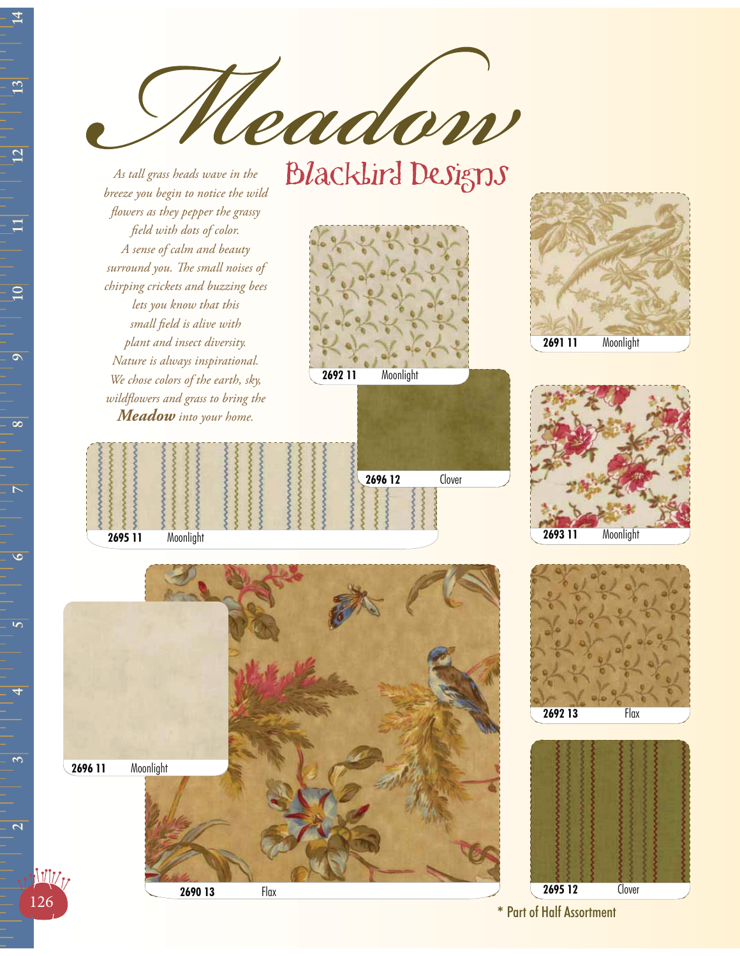eador

## **Blacklird Designs**

*As tall grass heads wave in the breeze you begin to notice the wild flowers as they pepper the grassy field with dots of color. A sense of calm and beauty surround you. The small noises of chirping crickets and buzzing bees lets you know that this small field is alive with plant and insect diversity. Nature is always inspirational. We chose colors of the earth, sky, wildflowers and grass to bring the Meadow into your home.*





**2693 11** Moonlight



**2690 13** Flax

**2696 11** Moonlight





**2695 12** Clover

**126 EXECUTE 2019 13 EXECUTE 2019 12 EXECUTE 2019 12 EXECUTE 2019 12** 

 $\overline{13}$ 

 $\overline{2}$ 

 $\mathbf{\Xi}$ 

 $\overline{10}$ 

 $\overline{\mathbf{c}}$ 

 $\overline{\infty}$ 

 $\overline{\triangleright}$ 

 $\overline{6}$ 

 $\overline{5}$ 

 $\overline{\mathfrak{S}}$ 

 $\overline{\mathbf{C}}$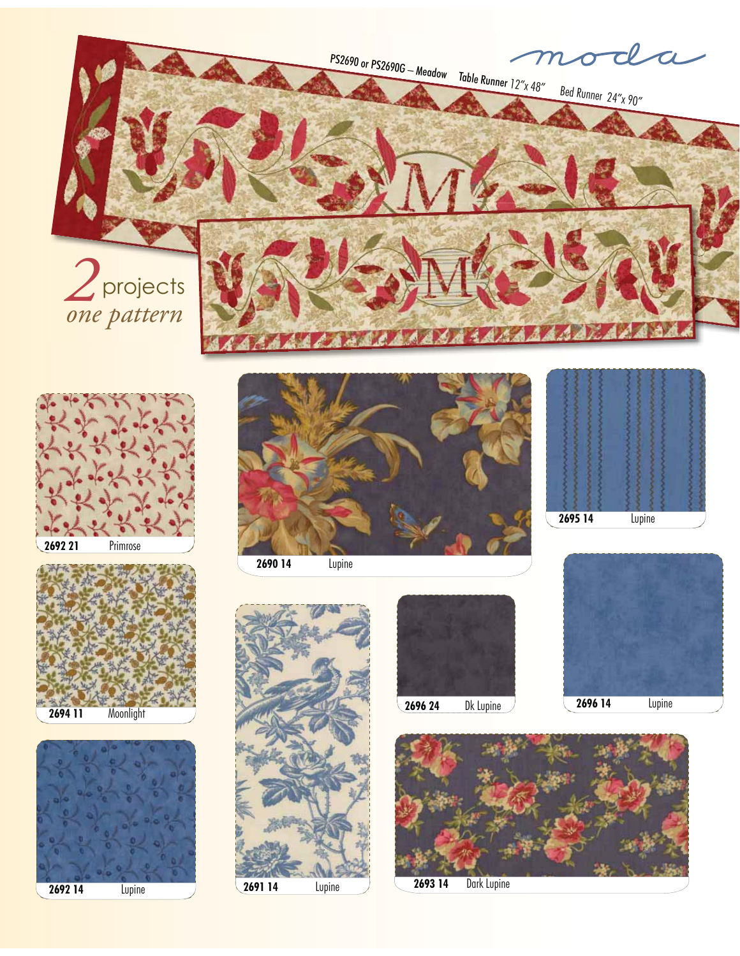PS2690 or PS2690G – Meadow Table Runner 12"x 48" Bed Runner 24"x 90" *2* projects *one pattern*















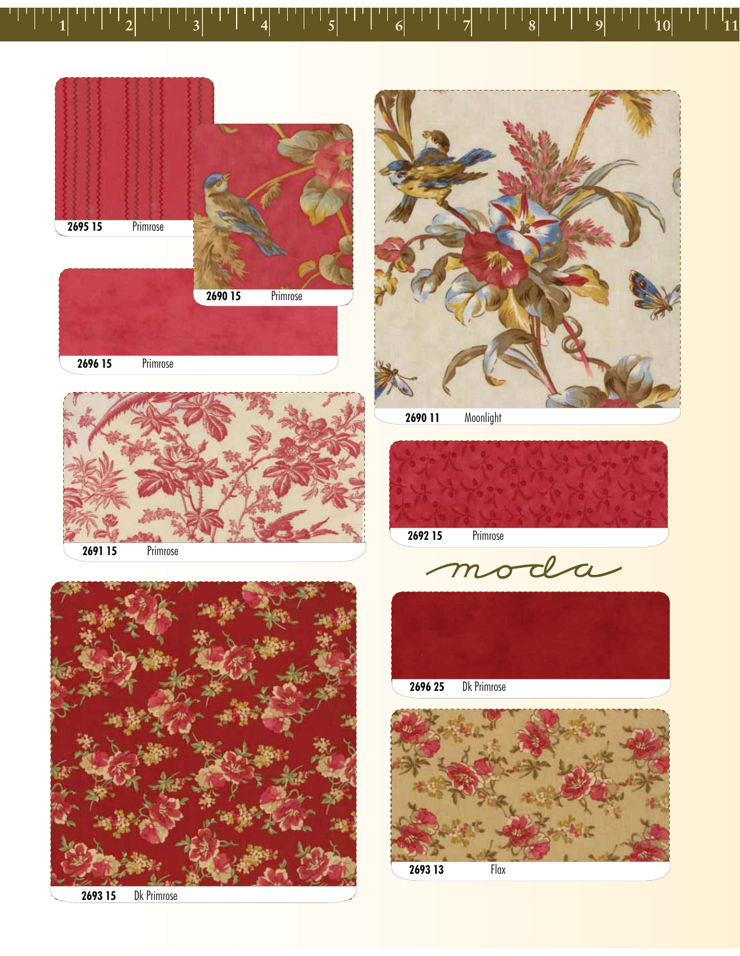









moda